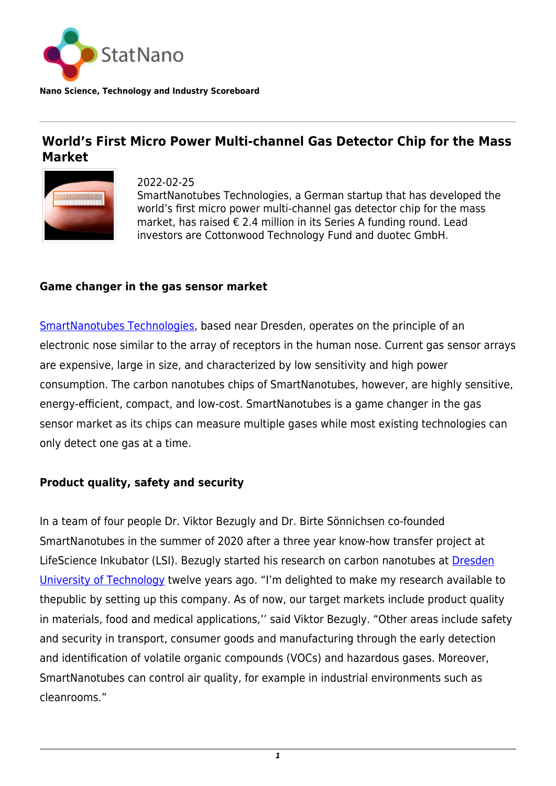

**Nano Science, Technology and Industry Scoreboard**

## **World's First Micro Power Multi-channel Gas Detector Chip for the Mass Market**



2022-02-25 SmartNanotubes Technologies, a German startup that has developed the world's first micro power multi-channel gas detector chip for the mass market, has raised € 2.4 million in its Series A funding round. Lead investors are Cottonwood Technology Fund and duotec GmbH.

## **Game changer in the gas sensor market**

[SmartNanotubes Technologies](https://smart-nanotubes.com/), based near Dresden, operates on the principle of an electronic nose similar to the array of receptors in the human nose. Current gas sensor arrays are expensive, large in size, and characterized by low sensitivity and high power consumption. The carbon nanotubes chips of SmartNanotubes, however, are highly sensitive, energy-efficient, compact, and low-cost. SmartNanotubes is a game changer in the gas sensor market as its chips can measure multiple gases while most existing technologies can only detect one gas at a time.

## **Product quality, safety and security**

In a team of four people Dr. Viktor Bezugly and Dr. Birte Sönnichsen co-founded SmartNanotubes in the summer of 2020 after a three year know-how transfer project at LifeScience Inkubator (LSI). Bezugly started his research on carbon nanotubes at [Dresden](https://statnano.com/org/Dresden-University-of-Technology) [University of Technology](https://statnano.com/org/Dresden-University-of-Technology) twelve years ago. "I'm delighted to make my research available to thepublic by setting up this company. As of now, our target markets include product quality in materials, food and medical applications,'' said Viktor Bezugly. "Other areas include safety and security in transport, consumer goods and manufacturing through the early detection and identification of volatile organic compounds (VOCs) and hazardous gases. Moreover, SmartNanotubes can control air quality, for example in industrial environments such as cleanrooms."